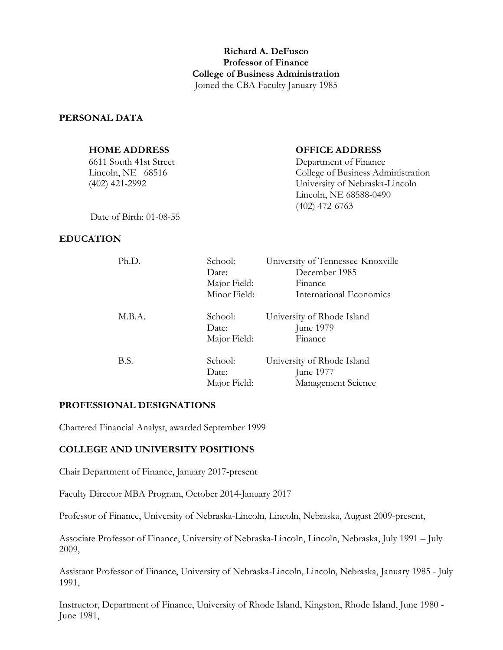# **Richard A. DeFusco Professor of Finance College of Business Administration** Joined the CBA Faculty January 1985

#### **PERSONAL DATA**

| <b>HOME ADDRESS</b>       | <b>OFFICE ADDRESS</b>              |
|---------------------------|------------------------------------|
| 6611 South 41st Street    | Department of Finance              |
| Lincoln, NE $68516$       | College of Business Administration |
| $(402)$ 421-2992          | University of Nebraska-Lincoln     |
|                           | Lincoln, NE 68588-0490             |
|                           | $(402)$ 472-6763                   |
| Date of Birth: $01-08-55$ |                                    |

Date of Birth: 01-08-55

#### **EDUCATION**

| Ph.D.  | School:<br>Date: | University of Tennessee-Knoxville<br>December 1985 |
|--------|------------------|----------------------------------------------------|
|        | Major Field:     | Finance                                            |
|        | Minor Field:     | International Economics                            |
| M.B.A. | School:          | University of Rhode Island                         |
|        | Date:            | June 1979                                          |
|        | Major Field:     | Finance                                            |
| B.S.   | School:          | University of Rhode Island                         |
|        | Date:            | June 1977                                          |
|        | Major Field:     | Management Science                                 |

#### **PROFESSIONAL DESIGNATIONS**

Chartered Financial Analyst, awarded September 1999

#### **COLLEGE AND UNIVERSITY POSITIONS**

Chair Department of Finance, January 2017-present

Faculty Director MBA Program, October 2014-January 2017

Professor of Finance, University of Nebraska-Lincoln, Lincoln, Nebraska, August 2009-present,

Associate Professor of Finance, University of Nebraska-Lincoln, Lincoln, Nebraska, July 1991 – July 2009,

Assistant Professor of Finance, University of Nebraska-Lincoln, Lincoln, Nebraska, January 1985 - July 1991,

Instructor, Department of Finance, University of Rhode Island, Kingston, Rhode Island, June 1980 - June 1981,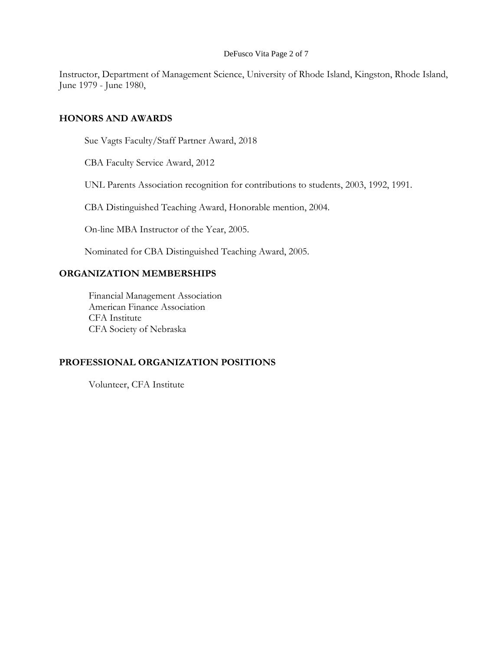#### DeFusco Vita Page 2 of 7

Instructor, Department of Management Science, University of Rhode Island, Kingston, Rhode Island, June 1979 - June 1980,

#### **HONORS AND AWARDS**

Sue Vagts Faculty/Staff Partner Award, 2018

CBA Faculty Service Award, 2012

UNL Parents Association recognition for contributions to students, 2003, 1992, 1991.

CBA Distinguished Teaching Award, Honorable mention, 2004.

On-line MBA Instructor of the Year, 2005.

Nominated for CBA Distinguished Teaching Award, 2005.

## **ORGANIZATION MEMBERSHIPS**

Financial Management Association American Finance Association CFA Institute CFA Society of Nebraska

# **PROFESSIONAL ORGANIZATION POSITIONS**

Volunteer, CFA Institute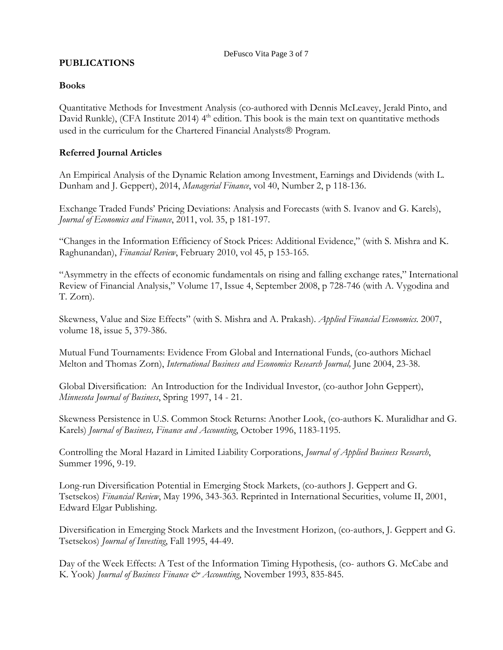# **PUBLICATIONS**

## **Books**

Quantitative Methods for Investment Analysis (co-authored with Dennis McLeavey, Jerald Pinto, and David Runkle), (CFA Institute 2014) 4<sup>th</sup> edition. This book is the main text on quantitative methods used in the curriculum for the Chartered Financial Analysts® Program.

# **Referred Journal Articles**

An Empirical Analysis of the Dynamic Relation among Investment, Earnings and Dividends (with L. Dunham and J. Geppert), 2014, *Managerial Finance*, vol 40, Number 2, p 118-136.

Exchange Traded Funds' Pricing Deviations: Analysis and Forecasts (with S. Ivanov and G. Karels), *Journal of Economics and Finance*, 2011, vol. 35, p 181-197.

"Changes in the Information Efficiency of Stock Prices: Additional Evidence," (with S. Mishra and K. Raghunandan), *Financial Review*, February 2010, vol 45, p 153-165.

"Asymmetry in the effects of economic fundamentals on rising and falling exchange rates," International Review of Financial Analysis," Volume 17, Issue 4, September 2008, p 728-746 (with A. Vygodina and T. Zorn).

Skewness, Value and Size Effects" (with S. Mishra and A. Prakash). *Applied Financial Economics.* 2007, volume 18, issue 5, 379-386.

Mutual Fund Tournaments: Evidence From Global and International Funds, (co-authors Michael Melton and Thomas Zorn), *International Business and Economics Research Journal,* June 2004, 23-38.

Global Diversification: An Introduction for the Individual Investor, (co-author John Geppert), *Minnesota Journal of Business*, Spring 1997, 14 - 21.

Skewness Persistence in U.S. Common Stock Returns: Another Look, (co-authors K. Muralidhar and G. Karels) *Journal of Business, Finance and Accounting*, October 1996, 1183-1195.

Controlling the Moral Hazard in Limited Liability Corporations, *Journal of Applied Business Research*, Summer 1996, 9-19.

Long-run Diversification Potential in Emerging Stock Markets, (co-authors J. Geppert and G. Tsetsekos) *Financial Review*, May 1996, 343-363. Reprinted in International Securities, volume II, 2001, Edward Elgar Publishing.

Diversification in Emerging Stock Markets and the Investment Horizon, (co-authors, J. Geppert and G. Tsetsekos) *Journal of Investing*, Fall 1995, 44-49.

Day of the Week Effects: A Test of the Information Timing Hypothesis, (co- authors G. McCabe and K. Yook) *Journal of Business Finance & Accounting*, November 1993, 835-845.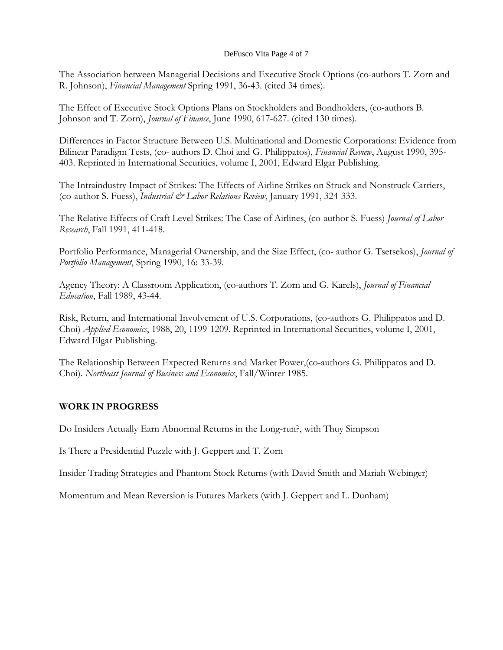#### DeFusco Vita Page 4 of 7

The Association between Managerial Decisions and Executive Stock Options (co-authors T. Zorn and R. Johnson), *Financial Management* Spring 1991, 36-43. (cited 34 times).

The Effect of Executive Stock Options Plans on Stockholders and Bondholders, (co-authors B. Johnson and T. Zorn), *Journal of Finance*, June 1990, 617-627. (cited 130 times).

Differences in Factor Structure Between U.S. Multinational and Domestic Corporations: Evidence from Bilinear Paradigm Tests, (co- authors D. Choi and G. Philippatos), *Financial Review*, August 1990, 395- 403. Reprinted in International Securities, volume I, 2001, Edward Elgar Publishing.

The Intraindustry Impact of Strikes: The Effects of Airline Strikes on Struck and Nonstruck Carriers, (co-author S. Fuess), *Industrial & Labor Relations Review*, January 1991, 324-333.

The Relative Effects of Craft Level Strikes: The Case of Airlines, (co-author S. Fuess) *Journal of Labor Research*, Fall 1991, 411-418.

Portfolio Performance, Managerial Ownership, and the Size Effect, (co- author G. Tsetsekos), *Journal of Portfolio Management*, Spring 1990, 16: 33-39.

Agency Theory: A Classroom Application, (co-authors T. Zorn and G. Karels), *Journal of Financial Education*, Fall 1989, 43-44.

Risk, Return, and International Involvement of U.S. Corporations, (co-authors G. Philippatos and D. Choi) *Applied Economics*, 1988, 20, 1199-1209. Reprinted in International Securities, volume I, 2001, Edward Elgar Publishing.

The Relationship Between Expected Returns and Market Power,(co-authors G. Philippatos and D. Choi). *Northeast Journal of Business and Economics*, Fall/Winter 1985.

## **WORK IN PROGRESS**

Do Insiders Actually Earn Abnormal Returns in the Long-run?, with Thuy Simpson

Is There a Presidential Puzzle with J. Geppert and T. Zorn

Insider Trading Strategies and Phantom Stock Returns (with David Smith and Mariah Webinger)

Momentum and Mean Reversion is Futures Markets (with J. Geppert and L. Dunham)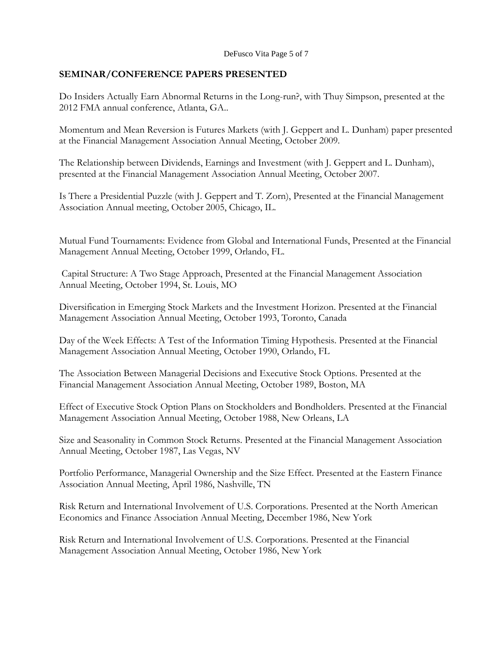# **SEMINAR/CONFERENCE PAPERS PRESENTED**

Do Insiders Actually Earn Abnormal Returns in the Long-run?, with Thuy Simpson, presented at the 2012 FMA annual conference, Atlanta, GA..

Momentum and Mean Reversion is Futures Markets (with J. Geppert and L. Dunham) paper presented at the Financial Management Association Annual Meeting, October 2009.

The Relationship between Dividends, Earnings and Investment (with J. Geppert and L. Dunham), presented at the Financial Management Association Annual Meeting, October 2007.

Is There a Presidential Puzzle (with J. Geppert and T. Zorn), Presented at the Financial Management Association Annual meeting, October 2005, Chicago, IL.

Mutual Fund Tournaments: Evidence from Global and International Funds, Presented at the Financial Management Annual Meeting, October 1999, Orlando, FL.

Capital Structure: A Two Stage Approach, Presented at the Financial Management Association Annual Meeting, October 1994, St. Louis, MO

Diversification in Emerging Stock Markets and the Investment Horizon. Presented at the Financial Management Association Annual Meeting, October 1993, Toronto, Canada

Day of the Week Effects: A Test of the Information Timing Hypothesis. Presented at the Financial Management Association Annual Meeting, October 1990, Orlando, FL

The Association Between Managerial Decisions and Executive Stock Options. Presented at the Financial Management Association Annual Meeting, October 1989, Boston, MA

Effect of Executive Stock Option Plans on Stockholders and Bondholders. Presented at the Financial Management Association Annual Meeting, October 1988, New Orleans, LA

Size and Seasonality in Common Stock Returns. Presented at the Financial Management Association Annual Meeting, October 1987, Las Vegas, NV

Portfolio Performance, Managerial Ownership and the Size Effect. Presented at the Eastern Finance Association Annual Meeting, April 1986, Nashville, TN

Risk Return and International Involvement of U.S. Corporations. Presented at the North American Economics and Finance Association Annual Meeting, December 1986, New York

Risk Return and International Involvement of U.S. Corporations. Presented at the Financial Management Association Annual Meeting, October 1986, New York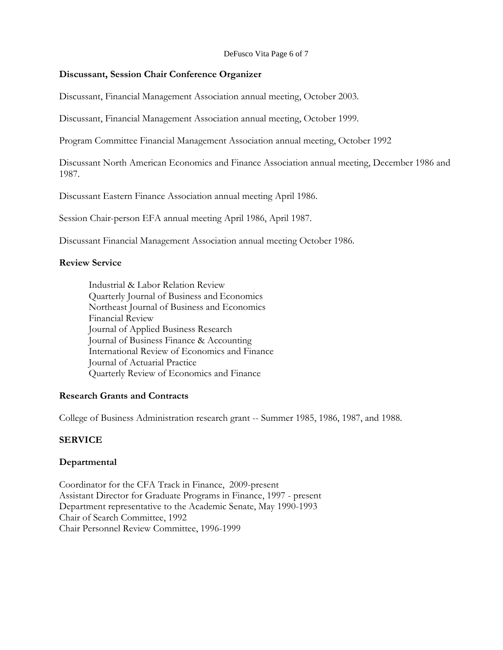DeFusco Vita Page 6 of 7

#### **Discussant, Session Chair Conference Organizer**

Discussant, Financial Management Association annual meeting, October 2003.

Discussant, Financial Management Association annual meeting, October 1999.

Program Committee Financial Management Association annual meeting, October 1992

Discussant North American Economics and Finance Association annual meeting, December 1986 and 1987.

Discussant Eastern Finance Association annual meeting April 1986.

Session Chair-person EFA annual meeting April 1986, April 1987.

Discussant Financial Management Association annual meeting October 1986.

## **Review Service**

Industrial & Labor Relation Review Quarterly Journal of Business and Economics Northeast Journal of Business and Economics Financial Review Journal of Applied Business Research Journal of Business Finance & Accounting International Review of Economics and Finance Journal of Actuarial Practice Quarterly Review of Economics and Finance

## **Research Grants and Contracts**

College of Business Administration research grant -- Summer 1985, 1986, 1987, and 1988.

## **SERVICE**

## **Departmental**

Coordinator for the CFA Track in Finance, 2009-present Assistant Director for Graduate Programs in Finance, 1997 - present Department representative to the Academic Senate, May 1990-1993 Chair of Search Committee, 1992 Chair Personnel Review Committee, 1996-1999